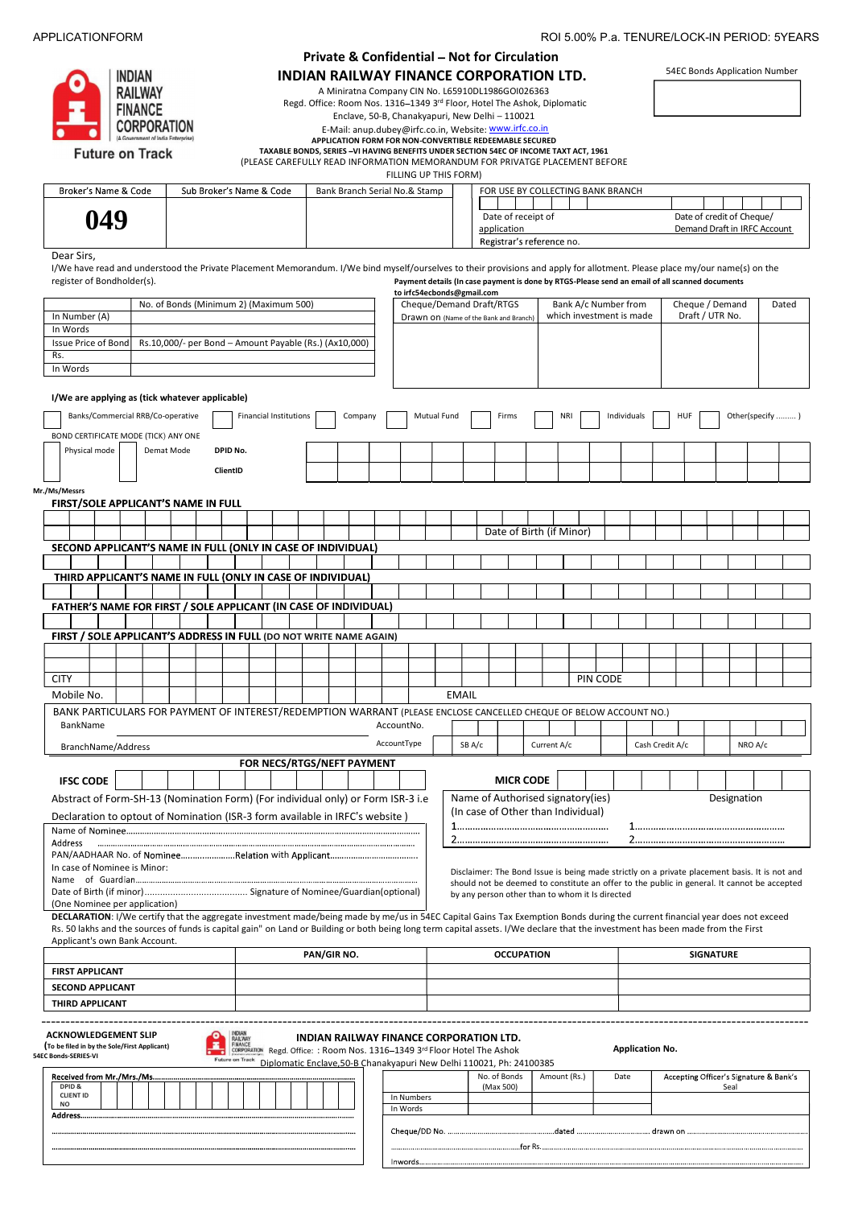### APPLICATIONFORM ROI 5.00% P.a. TENURE/LOCK-IN PERIOD: 5YEARS

| INDIAN                                                  |
|---------------------------------------------------------|
| <b>RAILWAY</b>                                          |
| <b>FINANCE</b>                                          |
| <b>CORPORATION</b><br>(A Government of India Enterprise |
| <b>Future on Track</b>                                  |

# Private & Confidential - Not for Circulation

INDIAN RAILWAY FINANCE CORPORATION LTD.

A Miniratna Company CIN No. L65910DL1986GOI026363 Regd. Office: Room Nos. 1316-1349 3rd Floor, Hotel The Ashok, Diplomatic 54EC Bonds Application Number

Enclave, 50-B, Chanakyapuri, New Delhi - 110021

E-Mail: anup.dubey@irfc.co.in, Website: www.irfc.co.in

APPLICATION FORM FOR NON-CONVERTIBLE REDEEMABLE SECURED<br>TAXABLE BONDS, SERIES –VI HAVING BENEFITS UNDER SECTION 54EC OF INCOME TAXT ACT, 1961

(PLEASE CAREFULLY READ INFORMATION MEMORANDUM FOR PRIVATGE PLACEMENT BEFORE

FILLING UP THIS FORM)

Broker's Name & Code Sub Broker's Name & Code | Bank Branch Serial No.& Stamp | FOR USE BY COLLECTING BANK BRANCH and the state **049**Date of receipt of Date of credit of Cheque,<br>
application Demand Draft in IRFC Acc application **Demand Draft in IRFC Account** Demand Draft in IRFC Account Registrar's reference no. no. No. 1996) | Registrar's reference no.<br>Dear Sirs,

I/We have read and understood the Private Placement Memorandum. I/We bind myself/ourselves to their provisions and apply for allotment. Please place my/our name(s) on the register of Bondholder(s).<br>Payment details (In case Payment details (In case payment is done by RTGS-Please send an email of all scanned documents to irfc54ecbonds@gmail.com

|                                                                                                                                                                                  |                                                        |    |                                                                                                                                                   |                                                                      |  |             |         |             |            |             |              | Cheque/Demand Draft/RTGS                                                                                                                       |         |              | Bank A/c Number from     |             |                        | Cheque / Demand                        |                  |                 | Dated |
|----------------------------------------------------------------------------------------------------------------------------------------------------------------------------------|--------------------------------------------------------|----|---------------------------------------------------------------------------------------------------------------------------------------------------|----------------------------------------------------------------------|--|-------------|---------|-------------|------------|-------------|--------------|------------------------------------------------------------------------------------------------------------------------------------------------|---------|--------------|--------------------------|-------------|------------------------|----------------------------------------|------------------|-----------------|-------|
| In Number (A)                                                                                                                                                                    | No. of Bonds (Minimum 2) (Maximum 500)                 |    |                                                                                                                                                   |                                                                      |  |             |         |             |            |             |              | Drawn on (Name of the Bank and Branch)                                                                                                         |         |              | which investment is made |             |                        | Draft / UTR No.                        |                  |                 |       |
| In Words                                                                                                                                                                         |                                                        |    |                                                                                                                                                   |                                                                      |  |             |         |             |            |             |              |                                                                                                                                                |         |              |                          |             |                        |                                        |                  |                 |       |
| Issue Price of Bond                                                                                                                                                              | Rs.10,000/- per Bond - Amount Payable (Rs.) (Ax10,000) |    |                                                                                                                                                   |                                                                      |  |             |         |             |            |             |              |                                                                                                                                                |         |              |                          |             |                        |                                        |                  |                 |       |
| Rs.                                                                                                                                                                              |                                                        |    |                                                                                                                                                   |                                                                      |  |             |         |             |            |             |              |                                                                                                                                                |         |              |                          |             |                        |                                        |                  |                 |       |
| In Words                                                                                                                                                                         |                                                        |    |                                                                                                                                                   |                                                                      |  |             |         |             |            |             |              |                                                                                                                                                |         |              |                          |             |                        |                                        |                  |                 |       |
|                                                                                                                                                                                  |                                                        |    |                                                                                                                                                   |                                                                      |  |             |         |             |            |             |              |                                                                                                                                                |         |              |                          |             |                        |                                        |                  |                 |       |
| I/We are applying as (tick whatever applicable)                                                                                                                                  |                                                        |    |                                                                                                                                                   |                                                                      |  |             |         |             |            |             |              |                                                                                                                                                |         |              |                          |             |                        |                                        |                  |                 |       |
|                                                                                                                                                                                  |                                                        |    |                                                                                                                                                   |                                                                      |  |             |         |             |            |             |              |                                                                                                                                                |         |              |                          |             |                        |                                        |                  |                 |       |
| Banks/Commercial RRB/Co-operative                                                                                                                                                |                                                        |    |                                                                                                                                                   | <b>Financial Institutions</b>                                        |  |             | Company |             |            | Mutual Fund |              | Firms                                                                                                                                          |         | NRI          |                          | Individuals |                        | <b>HUF</b>                             |                  | Other(specify ) |       |
| BOND CERTIFICATE MODE (TICK) ANY ONE                                                                                                                                             |                                                        |    |                                                                                                                                                   |                                                                      |  |             |         |             |            |             |              |                                                                                                                                                |         |              |                          |             |                        |                                        |                  |                 |       |
| Physical mode                                                                                                                                                                    | Demat Mode                                             |    | DPID No.                                                                                                                                          |                                                                      |  |             |         |             |            |             |              |                                                                                                                                                |         |              |                          |             |                        |                                        |                  |                 |       |
|                                                                                                                                                                                  |                                                        |    |                                                                                                                                                   |                                                                      |  |             |         |             |            |             |              |                                                                                                                                                |         |              |                          |             |                        |                                        |                  |                 |       |
|                                                                                                                                                                                  |                                                        |    | ClientID                                                                                                                                          |                                                                      |  |             |         |             |            |             |              |                                                                                                                                                |         |              |                          |             |                        |                                        |                  |                 |       |
| Mr./Ms/Messrs                                                                                                                                                                    |                                                        |    |                                                                                                                                                   |                                                                      |  |             |         |             |            |             |              |                                                                                                                                                |         |              |                          |             |                        |                                        |                  |                 |       |
| FIRST/SOLE APPLICANT'S NAME IN FULL                                                                                                                                              |                                                        |    |                                                                                                                                                   |                                                                      |  |             |         |             |            |             |              |                                                                                                                                                |         |              |                          |             |                        |                                        |                  |                 |       |
|                                                                                                                                                                                  |                                                        |    |                                                                                                                                                   |                                                                      |  |             |         |             |            |             |              |                                                                                                                                                |         |              |                          |             |                        |                                        |                  |                 |       |
|                                                                                                                                                                                  |                                                        |    |                                                                                                                                                   |                                                                      |  |             |         |             |            |             |              | Date of Birth (if Minor)                                                                                                                       |         |              |                          |             |                        |                                        |                  |                 |       |
| SECOND APPLICANT'S NAME IN FULL (ONLY IN CASE OF INDIVIDUAL)                                                                                                                     |                                                        |    |                                                                                                                                                   |                                                                      |  |             |         |             |            |             |              |                                                                                                                                                |         |              |                          |             |                        |                                        |                  |                 |       |
|                                                                                                                                                                                  |                                                        |    |                                                                                                                                                   |                                                                      |  |             |         |             |            |             |              |                                                                                                                                                |         |              |                          |             |                        |                                        |                  |                 |       |
| THIRD APPLICANT'S NAME IN FULL (ONLY IN CASE OF INDIVIDUAL)                                                                                                                      |                                                        |    |                                                                                                                                                   |                                                                      |  |             |         |             |            |             |              |                                                                                                                                                |         |              |                          |             |                        |                                        |                  |                 |       |
|                                                                                                                                                                                  |                                                        |    |                                                                                                                                                   |                                                                      |  |             |         |             |            |             |              |                                                                                                                                                |         |              |                          |             |                        |                                        |                  |                 |       |
| FATHER'S NAME FOR FIRST / SOLE APPLICANT (IN CASE OF INDIVIDUAL)                                                                                                                 |                                                        |    |                                                                                                                                                   |                                                                      |  |             |         |             |            |             |              |                                                                                                                                                |         |              |                          |             |                        |                                        |                  |                 |       |
|                                                                                                                                                                                  |                                                        |    |                                                                                                                                                   |                                                                      |  |             |         |             |            |             |              |                                                                                                                                                |         |              |                          |             |                        |                                        |                  |                 |       |
| FIRST / SOLE APPLICANT'S ADDRESS IN FULL (DO NOT WRITE NAME AGAIN)                                                                                                               |                                                        |    |                                                                                                                                                   |                                                                      |  |             |         |             |            |             |              |                                                                                                                                                |         |              |                          |             |                        |                                        |                  |                 |       |
|                                                                                                                                                                                  |                                                        |    |                                                                                                                                                   |                                                                      |  |             |         |             |            |             |              |                                                                                                                                                |         |              |                          |             |                        |                                        |                  |                 |       |
|                                                                                                                                                                                  |                                                        |    |                                                                                                                                                   |                                                                      |  |             |         |             |            |             |              |                                                                                                                                                |         |              |                          |             |                        |                                        |                  |                 |       |
| <b>CITY</b>                                                                                                                                                                      |                                                        |    |                                                                                                                                                   |                                                                      |  |             |         |             |            |             |              |                                                                                                                                                |         |              | PIN CODE                 |             |                        |                                        |                  |                 |       |
| Mobile No.                                                                                                                                                                       |                                                        |    |                                                                                                                                                   |                                                                      |  |             |         |             |            |             | <b>EMAIL</b> |                                                                                                                                                |         |              |                          |             |                        |                                        |                  |                 |       |
| BANK PARTICULARS FOR PAYMENT OF INTEREST/REDEMPTION WARRANT (PLEASE ENCLOSE CANCELLED CHEQUE OF BELOW ACCOUNT NO.)                                                               |                                                        |    |                                                                                                                                                   |                                                                      |  |             |         |             |            |             |              |                                                                                                                                                |         |              |                          |             |                        |                                        |                  |                 |       |
| BankName                                                                                                                                                                         |                                                        |    |                                                                                                                                                   |                                                                      |  |             |         | AccountNo.  |            |             |              |                                                                                                                                                |         |              |                          |             |                        |                                        |                  |                 |       |
|                                                                                                                                                                                  |                                                        |    |                                                                                                                                                   |                                                                      |  |             |         |             |            |             |              |                                                                                                                                                |         |              |                          |             |                        |                                        |                  |                 |       |
| BranchName/Address                                                                                                                                                               |                                                        |    |                                                                                                                                                   |                                                                      |  |             |         | AccountType |            |             | SB A/c       |                                                                                                                                                |         | Current A/c  |                          |             | Cash Credit A/c        |                                        |                  | NRO A/c         |       |
|                                                                                                                                                                                  |                                                        |    |                                                                                                                                                   | FOR NECS/RTGS/NEFT PAYMENT                                           |  |             |         |             |            |             |              |                                                                                                                                                |         |              |                          |             |                        |                                        |                  |                 |       |
| <b>IFSC CODE</b>                                                                                                                                                                 |                                                        |    |                                                                                                                                                   |                                                                      |  |             |         |             |            |             |              | <b>MICR CODE</b>                                                                                                                               |         |              |                          |             |                        |                                        |                  |                 |       |
|                                                                                                                                                                                  |                                                        |    |                                                                                                                                                   |                                                                      |  |             |         |             |            |             |              |                                                                                                                                                |         |              |                          |             |                        |                                        |                  |                 |       |
| Abstract of Form-SH-13 (Nomination Form) (For individual only) or Form ISR-3 i.e                                                                                                 |                                                        |    |                                                                                                                                                   |                                                                      |  |             |         |             |            |             |              | Name of Authorised signatory(ies)                                                                                                              |         |              |                          |             |                        |                                        |                  | Designation     |       |
| Declaration to optout of Nomination (ISR-3 form available in IRFC's website)                                                                                                     |                                                        |    |                                                                                                                                                   |                                                                      |  |             |         |             |            |             |              | (In case of Other than Individual)                                                                                                             |         |              |                          |             |                        |                                        |                  |                 |       |
|                                                                                                                                                                                  |                                                        |    |                                                                                                                                                   |                                                                      |  |             |         |             |            |             |              |                                                                                                                                                |         |              |                          |             |                        |                                        |                  |                 |       |
| Address                                                                                                                                                                          |                                                        |    |                                                                                                                                                   |                                                                      |  |             |         |             |            |             |              |                                                                                                                                                |         |              |                          |             |                        |                                        |                  |                 |       |
| In case of Nominee is Minor:                                                                                                                                                     |                                                        |    |                                                                                                                                                   |                                                                      |  |             |         |             |            |             |              |                                                                                                                                                |         |              |                          |             |                        |                                        |                  |                 |       |
|                                                                                                                                                                                  |                                                        |    |                                                                                                                                                   |                                                                      |  |             |         |             |            |             |              | Disclaimer: The Bond Issue is being made strictly on a private placement basis. It is not and                                                  |         |              |                          |             |                        |                                        |                  |                 |       |
|                                                                                                                                                                                  |                                                        |    |                                                                                                                                                   |                                                                      |  |             |         |             |            |             |              | should not be deemed to constitute an offer to the public in general. It cannot be accepted<br>by any person other than to whom it Is directed |         |              |                          |             |                        |                                        |                  |                 |       |
| (One Nominee per application)                                                                                                                                                    |                                                        |    |                                                                                                                                                   |                                                                      |  |             |         |             |            |             |              |                                                                                                                                                |         |              |                          |             |                        |                                        |                  |                 |       |
| DECLARATION: I/We certify that the aggregate investment made/being made by me/us in 54EC Capital Gains Tax Exemption Bonds during the current financial year does not exceed     |                                                        |    |                                                                                                                                                   |                                                                      |  |             |         |             |            |             |              |                                                                                                                                                |         |              |                          |             |                        |                                        |                  |                 |       |
| Rs. 50 lakhs and the sources of funds is capital gain" on Land or Building or both being long term capital assets. I/We declare that the investment has been made from the First |                                                        |    |                                                                                                                                                   |                                                                      |  |             |         |             |            |             |              |                                                                                                                                                |         |              |                          |             |                        |                                        |                  |                 |       |
| Applicant's own Bank Account.                                                                                                                                                    |                                                        |    |                                                                                                                                                   |                                                                      |  | PAN/GIR NO. |         |             |            |             |              | <b>OCCUPATION</b>                                                                                                                              |         |              |                          |             |                        |                                        | <b>SIGNATURE</b> |                 |       |
|                                                                                                                                                                                  |                                                        |    |                                                                                                                                                   |                                                                      |  |             |         |             |            |             |              |                                                                                                                                                |         |              |                          |             |                        |                                        |                  |                 |       |
| <b>FIRST APPLICANT</b>                                                                                                                                                           |                                                        |    |                                                                                                                                                   |                                                                      |  |             |         |             |            |             |              |                                                                                                                                                |         |              |                          |             |                        |                                        |                  |                 |       |
| <b>SECOND APPLICANT</b>                                                                                                                                                          |                                                        |    |                                                                                                                                                   |                                                                      |  |             |         |             |            |             |              |                                                                                                                                                |         |              |                          |             |                        |                                        |                  |                 |       |
| <b>THIRD APPLICANT</b>                                                                                                                                                           |                                                        |    |                                                                                                                                                   |                                                                      |  |             |         |             |            |             |              |                                                                                                                                                |         |              |                          |             |                        |                                        |                  |                 |       |
|                                                                                                                                                                                  |                                                        |    |                                                                                                                                                   |                                                                      |  |             |         |             |            |             |              |                                                                                                                                                |         |              |                          |             |                        |                                        |                  |                 |       |
| <b>ACKNOWLEDGEMENT SLIP</b>                                                                                                                                                      |                                                        | о  |                                                                                                                                                   |                                                                      |  |             |         |             |            |             |              |                                                                                                                                                |         |              |                          |             |                        |                                        |                  |                 |       |
| (To be filed in by the Sole/First Applicant)                                                                                                                                     |                                                        | Е, | <b>INDIAN RAILWAY FINANCE CORPORATION LTD.</b><br>FINANCE CORPORATION REGION OF THE PROPORATION REGISTER TO A SCREED THE PASHOL TO REAL THE ASHOL |                                                                      |  |             |         |             |            |             |              |                                                                                                                                                |         |              |                          |             | <b>Application No.</b> |                                        |                  |                 |       |
| 54EC Bonds-SERIES-VI                                                                                                                                                             |                                                        |    | <b>Future on Track</b>                                                                                                                            | Diplomatic Enclave, 50-B Chanakyapuri New Delhi 110021, Ph: 24100385 |  |             |         |             |            |             |              |                                                                                                                                                |         |              |                          |             |                        |                                        |                  |                 |       |
| Received from Mr./Mrs./Ms                                                                                                                                                        |                                                        |    |                                                                                                                                                   |                                                                      |  |             |         |             |            |             |              | No. of Bonds                                                                                                                                   |         | Amount (Rs.) |                          | Date        |                        | Accepting Officer's Signature & Bank's |                  |                 |       |
| DPID &                                                                                                                                                                           |                                                        |    |                                                                                                                                                   |                                                                      |  |             |         |             |            |             |              | (Max 500)                                                                                                                                      |         |              |                          |             |                        |                                        |                  | Seal            |       |
| <b>CLIENT ID</b><br><b>NO</b>                                                                                                                                                    |                                                        |    |                                                                                                                                                   |                                                                      |  |             |         |             | In Numbers |             |              |                                                                                                                                                |         |              |                          |             |                        |                                        |                  |                 |       |
| Address                                                                                                                                                                          |                                                        |    |                                                                                                                                                   |                                                                      |  |             |         |             | In Words   |             |              |                                                                                                                                                |         |              |                          |             |                        |                                        |                  |                 |       |
|                                                                                                                                                                                  |                                                        |    |                                                                                                                                                   |                                                                      |  |             |         |             |            |             |              |                                                                                                                                                |         |              |                          |             |                        |                                        |                  |                 |       |
|                                                                                                                                                                                  |                                                        |    |                                                                                                                                                   |                                                                      |  |             |         |             |            |             |              |                                                                                                                                                | for Rs. |              |                          |             |                        |                                        |                  |                 |       |
|                                                                                                                                                                                  |                                                        |    |                                                                                                                                                   |                                                                      |  |             |         |             |            |             |              |                                                                                                                                                |         |              |                          |             |                        |                                        |                  |                 |       |
|                                                                                                                                                                                  |                                                        |    |                                                                                                                                                   |                                                                      |  |             |         |             |            |             |              |                                                                                                                                                |         |              |                          |             |                        |                                        |                  |                 |       |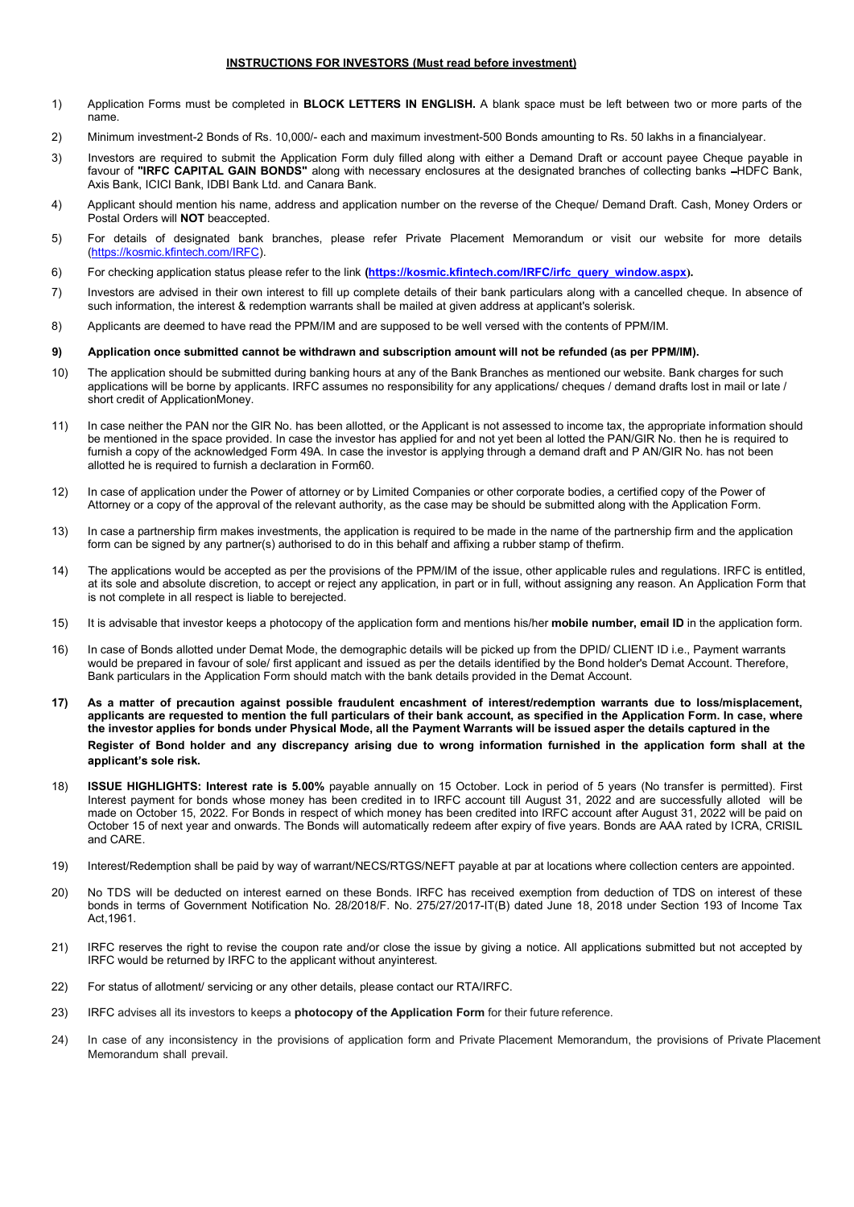## INSTRUCTIONS FOR INVESTORS (Must read before investment)

- Application Forms must be completed in **BLOCK LETTERS IN ENGLISH**. A blank space must be left between two or more parts of the name.<br>
2) Minimum investment-2 Bonds of Rs. 10,000/- each and maximum investment-500 Bonds amou
- 
- 3) Investors are required to submit the Application Form duly filled along with either a Demand Draft or account payee Cheque payable in favour of "IRFC CAPITAL GAIN BONDS" along with necessary enclosures at the designated branches of collecting banks -HDFC Bank, Axis Bank, ICICI Bank, IDBI Bank Ltd. and Canara Bank.
- 4) Applicant should mention his name, address and application number on the reverse of the Cheque/ Demand Draft. Cash, Money Orders or Postal Orders will **NOT** beaccepted.
- 5) For details of designated bank branches, please refer Private Placement Memorandum or visit our website for more details (https://kosmic.kfintech.com/IRFC).
- 6) For checking application status please refer to the link (https://kosmic.kfintech.com/IRFC/irfc\_query\_window.aspx).
- 7) Investors are advised in their own interest to fill up complete details of their bank particulars along with a cancelled cheque. In absence of such information, the interest & redemption warrants shall be mailed at given address at applicant's solerisk.
- 8) Applicants are deemed to have read the PPM/IM and are supposed to be well versed with the contents of PPM/IM.

#### 9) Application once submitted cannot be withdrawn and subscription amount will not be refunded (as per PPM/IM).

- 10) The application should be submitted during banking hours at any of the Bank Branches as mentioned our website. Bank charges for such applications will be borne by applicants. IRFC assumes no responsibility for any applications/ cheques / demand drafts lost in mail or late / short credit of ApplicationMoney.
- 11) In case neither the PAN nor the GIR No. has been allotted, or the Applicant is not assessed to income tax, the appropriate information should be mentioned in the space provided. In case the investor has applied for and not yet been al lotted the PAN/GIR No. then he is required to furnish a copy of the acknowledged Form 49A. In case the investor is applying through a demand draft and P AN/GIR No. has not been allotted he is required to furnish a declaration in Form60.
- 12) In case of application under the Power of attorney or by Limited Companies or other corporate bodies, a certified copy of the Power of Attorney or a copy of the approval of the relevant authority, as the case may be should be submitted along with the Application Form.
- 13) In case a partnership firm makes investments, the application is required to be made in the name of the partnership firm and the application form can be signed by any partner(s) authorised to do in this behalf and affixing a rubber stamp of thefirm.
- 14) The applications would be accepted as per the provisions of the PPM/IM of the issue, other applicable rules and regulations. IRFC is entitled, at its sole and absolute discretion, to accept or reject any application, in part or in full, without assigning any reason. An Application Form that is not complete in all respect is liable to berejected.
- 15) It is advisable that investor keeps a photocopy of the application form and mentions his/her mobile number, email ID in the application form.
- 16) In case of Bonds allotted under Demat Mode, the demographic details will be picked up from the DPID/ CLIENT ID i.e., Payment warrants would be prepared in favour of sole/ first applicant and issued as per the details identified by the Bond holder's Demat Account. Therefore, Bank particulars in the Application Form should match with the bank details provided in the Demat Account.
- 17) As a matter of precaution against possible fraudulent encashment of interest/redemption warrants due to loss/misplacement, applicants are requested to mention the full particulars of their bank account, as specified in the Application Form. In case, where the investor applies for bonds under Physical Mode, all the Payment Warrants will be issued asper the details captured in the Register of Bond holder and any discrepancy arising due to wrong information furnished in the application form shall at the applicant's sole risk.
- 18) ISSUE HIGHLIGHTS: Interest rate is 5.00% payable annually on 15 October. Lock in period of 5 years (No transfer is permitted). First Interest payment for bonds whose money has been credited in to IRFC account till August 31, 2022 and are successfully alloted will be made on October 15, 2022. For Bonds in respect of which money has been credited into IRFC account after August 31, 2022 will be paid on October 15 of next year and onwards. The Bonds will automatically redeem after expiry of five years. Bonds are AAA rated by ICRA, CRISIL and CARE.
- 19) Interest/Redemption shall be paid by way of warrant/NECS/RTGS/NEFT payable at par at locations where collection centers are appointed.
- 20) No TDS will be deducted on interest earned on these Bonds. IRFC has received exemption from deduction of TDS on interest of these bonds in terms of Government Notification No. 28/2018/F. No. 275/27/2017-IT(B) dated June 18, 2018 under Section 193 of Income Tax Act,1961.
- 21) IRFC reserves the right to revise the coupon rate and/or close the issue by giving a notice. All applications submitted but not accepted by IRFC would be returned by IRFC to the applicant without anyinterest.
- 22) For status of allotment/ servicing or any other details, please contact our RTA/IRFC.
- 23) IRFC advises all its investors to keeps a photocopy of the Application Form for their future reference.
- 24) In case of any inconsistency in the provisions of application form and Private Placement Memorandum, the provisions of Private Placement Memorandum shall prevail.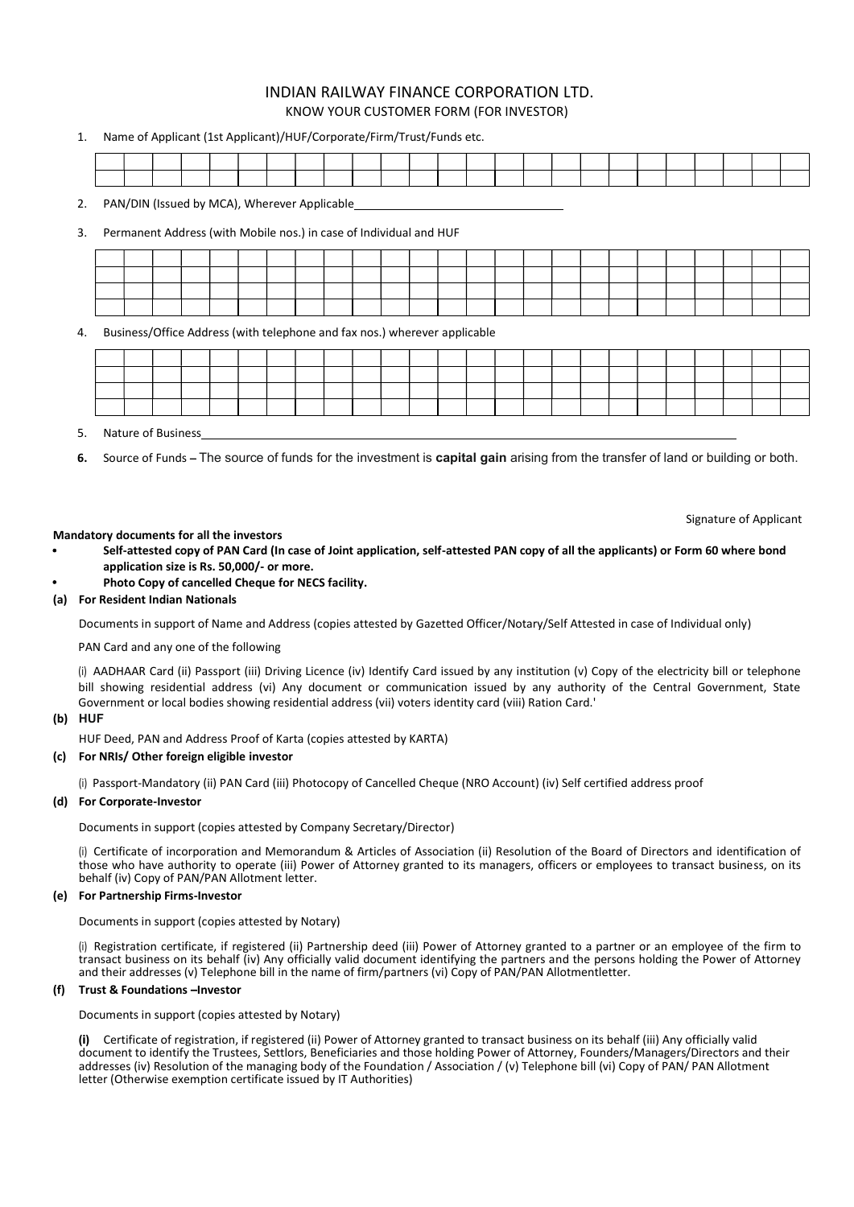# INDIAN RAILWAY FINANCE CORPORATION LTD. KNOW YOUR CUSTOMER FORM (FOR INVESTOR)

| 1. |  | Name of Applicant (1st Applicant)/HUF/Corporate/Firm/Trust/Funds etc. |  |  |  |  |  |  |  |  |  |  |  |
|----|--|-----------------------------------------------------------------------|--|--|--|--|--|--|--|--|--|--|--|
|    |  |                                                                       |  |  |  |  |  |  |  |  |  |  |  |
|    |  |                                                                       |  |  |  |  |  |  |  |  |  |  |  |
|    |  | PAN/DIN (Issued by MCA), Wherever Applicable                          |  |  |  |  |  |  |  |  |  |  |  |

| 3. |  |                    |  |  | Permanent Address (with Mobile nos.) in case of Individual and HUF        |  |  |  |  |  |  |  |  |  |
|----|--|--------------------|--|--|---------------------------------------------------------------------------|--|--|--|--|--|--|--|--|--|
|    |  |                    |  |  |                                                                           |  |  |  |  |  |  |  |  |  |
|    |  |                    |  |  |                                                                           |  |  |  |  |  |  |  |  |  |
|    |  |                    |  |  |                                                                           |  |  |  |  |  |  |  |  |  |
|    |  |                    |  |  |                                                                           |  |  |  |  |  |  |  |  |  |
| 4. |  |                    |  |  | Business/Office Address (with telephone and fax nos.) wherever applicable |  |  |  |  |  |  |  |  |  |
|    |  |                    |  |  |                                                                           |  |  |  |  |  |  |  |  |  |
|    |  |                    |  |  |                                                                           |  |  |  |  |  |  |  |  |  |
|    |  |                    |  |  |                                                                           |  |  |  |  |  |  |  |  |  |
| 5. |  | Nature of Business |  |  |                                                                           |  |  |  |  |  |  |  |  |  |

6. Source of Funds – The source of funds for the investment is capital gain arising from the transfer of land or building or both.

Signature of Applicant

### Mandatory documents for all the investors

- Self-attested copy of PAN Card (In case of Joint application, self-attested PAN copy of all the applicants) or Form 60 where bond application size is Rs. 50,000/- or more.
- Photo Copy of cancelled Cheque for NECS facility.

#### (a) For Resident Indian Nationals

Documents in support of Name and Address (copies attested by Gazetted Officer/Notary/Self Attested in case of Individual only)

PAN Card and any one of the following

(i) AADHAAR Card (ii) Passport (iii) Driving Licence (iv) Identify Card issued by any institution (v) Copy of the electricity bill or telephone bill showing residential address (vi) Any document or communication issued by any authority of the Central Government, State Government or local bodies showing residential address (vii) voters identity card (viii) Ration Card.'

### (b) HUF

HUF Deed, PAN and Address Proof of Karta (copies attested by KARTA)

### (c) For NRIs/ Other foreign eligible investor

(i) Passport-Mandatory (ii) PAN Card (iii) Photocopy of Cancelled Cheque (NRO Account) (iv) Self certified address proof

### (d) For Corporate-Investor

Documents in support (copies attested by Company Secretary/Director)

(i) Certificate of incorporation and Memorandum & Articles of Association (ii) Resolution of the Board of Directors and identification of those who have authority to operate (iii) Power of Attorney granted to its managers, officers or employees to transact business, on its behalf (iv) Copy of PAN/PAN Allotment letter.

### (e) For Partnership Firms-Investor

Documents in support (copies attested by Notary)

(i) Registration certificate, if registered (ii) Partnership deed (iii) Power of Attorney granted to a partner or an employee of the firm to transact business on its behalf (iv) Any officially valid document identifying the partners and the persons holding the Power of Attorney and their addresses (v) Telephone bill in the name of firm/partners (vi) Copy of PAN/PAN Allotmentletter.

### (f) Trust & Foundations -Investor

Documents in support (copies attested by Notary)

(i) Certificate of registration, if registered (ii) Power of Attorney granted to transact business on its behalf (iii) Any officially valid document to identify the Trustees, Settlors, Beneficiaries and those holding Power of Attorney, Founders/Managers/Directors and their addresses (iv) Resolution of the managing body of the Foundation / Association / (v) Telephone bill (vi) Copy of PAN/ PAN Allotment letter (Otherwise exemption certificate issued by IT Authorities)